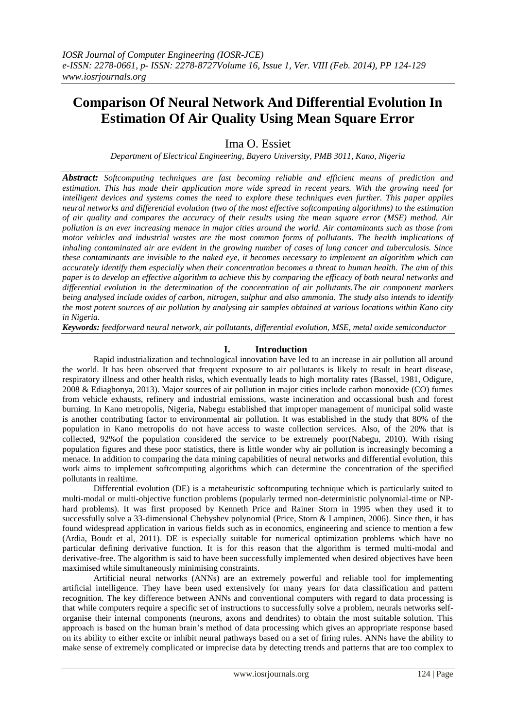# **Comparison Of Neural Network And Differential Evolution In Estimation Of Air Quality Using Mean Square Error**

Ima O. Essiet

*Department of Electrical Engineering, Bayero University, PMB 3011, Kano, Nigeria*

*Abstract: Softcomputing techniques are fast becoming reliable and efficient means of prediction and estimation. This has made their application more wide spread in recent years. With the growing need for intelligent devices and systems comes the need to explore these techniques even further. This paper applies neural networks and differential evolution (two of the most effective softcomputing algorithms) to the estimation of air quality and compares the accuracy of their results using the mean square error (MSE) method. Air pollution is an ever increasing menace in major cities around the world. Air contaminants such as those from motor vehicles and industrial wastes are the most common forms of pollutants. The health implications of inhaling contaminated air are evident in the growing number of cases of lung cancer and tuberculosis. Since these contaminants are invisible to the naked eye, it becomes necessary to implement an algorithm which can accurately identify them especially when their concentration becomes a threat to human health. The aim of this paper is to develop an effective algorithm to achieve this by comparing the efficacy of both neural networks and differential evolution in the determination of the concentration of air pollutants.The air component markers being analysed include oxides of carbon, nitrogen, sulphur and also ammonia. The study also intends to identify the most potent sources of air pollution by analysing air samples obtained at various locations within Kano city in Nigeria.*

*Keywords: feedforward neural network, air pollutants, differential evolution, MSE, metal oxide semiconductor*

# **I. Introduction**

Rapid industrialization and technological innovation have led to an increase in air pollution all around the world. It has been observed that frequent exposure to air pollutants is likely to result in heart disease, respiratory illness and other health risks, which eventually leads to high mortality rates (Bassel, 1981, Odigure, 2008 & Ediagbonya, 2013). Major sources of air pollution in major cities include carbon monoxide (CO) fumes from vehicle exhausts, refinery and industrial emissions, waste incineration and occassional bush and forest burning. In Kano metropolis, Nigeria, Nabegu established that improper management of municipal solid waste is another contributing factor to environmental air pollution. It was established in the study that 80% of the population in Kano metropolis do not have access to waste collection services. Also, of the 20% that is collected, 92%of the population considered the service to be extremely poor(Nabegu, 2010). With rising population figures and these poor statistics, there is little wonder why air pollution is increasingly becoming a menace. In addition to comparing the data mining capabilities of neural networks and differential evolution, this work aims to implement softcomputing algorithms which can determine the concentration of the specified pollutants in realtime.

Differential evolution (DE) is a metaheuristic softcomputing technique which is particularly suited to multi-modal or multi-objective function problems (popularly termed non-deterministic polynomial-time or NPhard problems). It was first proposed by Kenneth Price and Rainer Storn in 1995 when they used it to successfully solve a 33-dimensional Chebyshev polynomial (Price, Storn & Lampinen, 2006). Since then, it has found widespread application in various fields such as in economics, engineering and science to mention a few (Ardia, Boudt et al, 2011). DE is especially suitable for numerical optimization problems which have no particular defining derivative function. It is for this reason that the algorithm is termed multi-modal and derivative-free. The algorithm is said to have been successfully implemented when desired objectives have been maximised while simultaneously minimising constraints.

Artificial neural networks (ANNs) are an extremely powerful and reliable tool for implementing artificial intelligence. They have been used extensively for many years for data classification and pattern recognition. The key difference between ANNs and conventional computers with regard to data processing is that while computers require a specific set of instructions to successfully solve a problem, neurals networks selforganise their internal components (neurons, axons and dendrites) to obtain the most suitable solution. This approach is based on the human brain's method of data processing which gives an appropriate response based on its ability to either excite or inhibit neural pathways based on a set of firing rules. ANNs have the ability to make sense of extremely complicated or imprecise data by detecting trends and patterns that are too complex to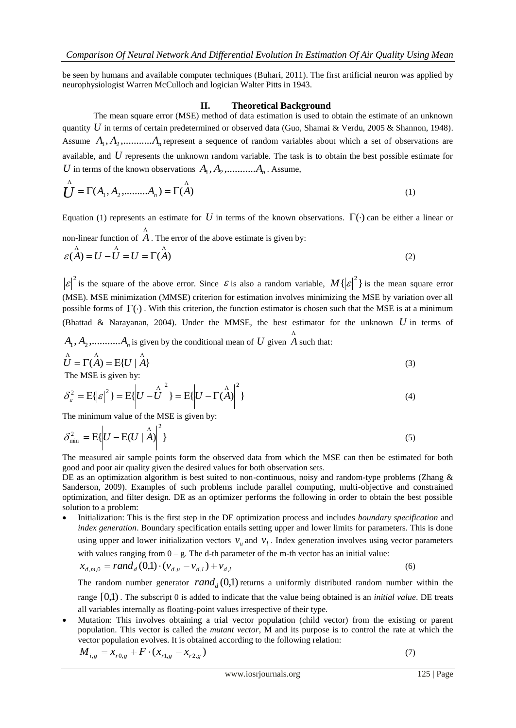be seen by humans and available computer techniques (Buhari, 2011). The first artificial neuron was applied by neurophysiologist Warren McCulloch and logician Walter Pitts in 1943.

#### **II. Theoretical Background**

The mean square error (MSE) method of data estimation is used to obtain the estimate of an unknown quantity U in terms of certain predetermined or observed data (Guo, Shamai & Verdu, 2005 & Shannon, 1948). Assume  $A_1, A_2, \ldots, A_n$  represent a sequence of random variables about which a set of observations are available, and *U* represents the unknown random variable. The task is to obtain the best possible estimate for U in terms of the known observations  $A_1, A_2, \ldots, A_n$ . Assume,

$$
\bigcup_{i=1}^{A} \Gamma(A_1, A_2, \dots, A_n) = \Gamma(A) \tag{1}
$$

Equation (1) represents an estimate for U in terms of the known observations.  $\Gamma(\cdot)$  can be either a linear or non-linear function of  $A$  . The error of the above estimate is given by:  $\varepsilon(A) = U - \overline{U} = U = \Gamma(A)$ (2)

 $\left| \mathcal{E} \right|^2$  is the square of the above error. Since  $\mathcal{E}$  is also a random variable,  $M(|\mathcal{E}|^2)$  is the mean square error (MSE). MSE minimization (MMSE) criterion for estimation involves minimizing the MSE by variation over all possible forms of  $\Gamma(\cdot)$ . With this criterion, the function estimator is chosen such that the MSE is at a minimum (Bhattad & Narayanan, 2004). Under the MMSE, the best estimator for the unknown  $U$  in terms of

 $A_1, A_2, \ldots, A_n$  is given by the conditional mean of U given  $\stackrel{\wedge}{A}$  such that:

$$
\hat{U} = \Gamma(\hat{A}) = E\{U \mid \hat{A}\}
$$
  
The MSE is given by:  

$$
\frac{1}{2} \left(1 + \frac{1}{2}\right)^2 = \frac{1}{2} \left(1 + \frac{1}{2}\right)^2
$$
 (3)

$$
\delta_{\varepsilon}^{2} = \mathbb{E}\{|\varepsilon|^{2}\} = \mathbb{E}\{U - \hat{U}\bigg|^{2}\} = \mathbb{E}\{U - \Gamma(\hat{A})\bigg|^{2}\}
$$
\n(4)

The minimum value of the MSE is given by:

$$
\delta_{\min}^2 = \mathcal{E}\left\{ U - \mathcal{E}(U \mid \mathbf{A}) \right\}^2 \tag{5}
$$

The measured air sample points form the observed data from which the MSE can then be estimated for both good and poor air quality given the desired values for both observation sets.

DE as an optimization algorithm is best suited to non-continuous, noisy and random-type problems (Zhang & Sanderson, 2009). Examples of such problems include parallel computing, multi-objective and constrained optimization, and filter design. DE as an optimizer performs the following in order to obtain the best possible solution to a problem:

 Initialization: This is the first step in the DE optimization process and includes *boundary specification* and *index generation*. Boundary specification entails setting upper and lower limits for parameters. This is done using upper and lower initialization vectors  $v<sub>u</sub>$  and  $v<sub>l</sub>$ . Index generation involves using vector parameters with values ranging from  $0 - g$ . The d-th parameter of the m-th vector has an initial value:

$$
x_{d,m,0} = rand_d(0,1) \cdot (v_{d,u} - v_{d,l}) + v_{d,l}
$$
\n(6)

The random number generator  $rand_d(0,1)$  returns a uniformly distributed random number within the range [0,1) . The subscript 0 is added to indicate that the value being obtained is an *initial value*. DE treats all variables internally as floating-point values irrespective of their type.

 Mutation: This involves obtaining a trial vector population (child vector) from the existing or parent population. This vector is called the *mutant vector*, M and its purpose is to control the rate at which the vector population evolves. It is obtained according to the following relation:

$$
M_{i,g} = x_{r0,g} + F \cdot (x_{r1,g} - x_{r2,g})
$$

(7)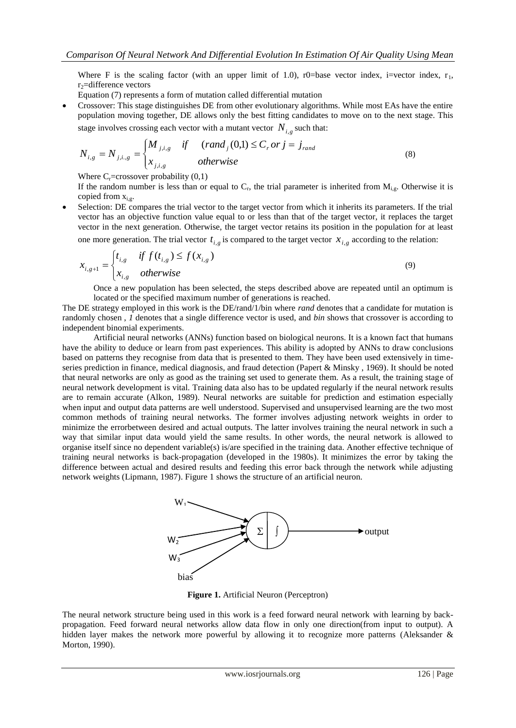Where F is the scaling factor (with an upper limit of 1.0), r0=base vector index, i=vector index,  $r_1$ ,  $r_2$ =difference vectors

Equation (7) represents a form of mutation called differential mutation

 Crossover: This stage distinguishes DE from other evolutionary algorithms. While most EAs have the entire population moving together, DE allows only the best fitting candidates to move on to the next stage. This stage involves crossing each vector with a mutant vector  $N_{i,g}$  such that:

$$
N_{i,g} = N_{j,i,g} = \begin{cases} M_{j,i,g} & \text{if } (rand_j(0,1) \le C_r \text{ or } j = j_{rand} \\ x_{j,i,g} & \text{otherwise} \end{cases}
$$
(8)

Where  $C_r$ =crossover probability  $(0,1)$ 

If the random number is less than or equal to  $C_r$ , the trial parameter is inherited from  $M_{i,g}$ . Otherwise it is copied from  $x_{i,g}$ .

 Selection: DE compares the trial vector to the target vector from which it inherits its parameters. If the trial vector has an objective function value equal to or less than that of the target vector, it replaces the target vector in the next generation. Otherwise, the target vector retains its position in the population for at least

one more generation. The trial vector  $t_{i,g}$  is compared to the target vector  $x_{i,g}$  according to the relation:

$$
x_{i,g+1} = \begin{cases} t_{i,g} & \text{if } f(t_{i,g}) \le f(x_{i,g}) \\ x_{i,g} & \text{otherwise} \end{cases}
$$
 (9)

Once a new population has been selected, the steps described above are repeated until an optimum is located or the specified maximum number of generations is reached.

The DE strategy employed in this work is the DE/rand/1/bin where *rand* denotes that a candidate for mutation is randomly chosen , *1* denotes that a single difference vector is used, and *bin* shows that crossover is according to independent binomial experiments.

Artificial neural networks (ANNs) function based on biological neurons. It is a known fact that humans have the ability to deduce or learn from past experiences. This ability is adopted by ANNs to draw conclusions based on patterns they recognise from data that is presented to them. They have been used extensively in timeseries prediction in finance, medical diagnosis, and fraud detection (Papert & Minsky , 1969). It should be noted that neural networks are only as good as the training set used to generate them. As a result, the training stage of neural network development is vital. Training data also has to be updated regularly if the neural network results are to remain accurate (Alkon, 1989). Neural networks are suitable for prediction and estimation especially when input and output data patterns are well understood. Supervised and unsupervised learning are the two most common methods of training neural networks. The former involves adjusting network weights in order to minimize the errorbetween desired and actual outputs. The latter involves training the neural network in such a way that similar input data would yield the same results. In other words, the neural network is allowed to organise itself since no dependent variable(s) is/are specified in the training data. Another effective technique of training neural networks is back-propagation (developed in the 1980s). It minimizes the error by taking the difference between actual and desired results and feeding this error back through the network while adjusting network weights (Lipmann, 1987). Figure 1 shows the structure of an artificial neuron.



**Figure 1.** Artificial Neuron (Perceptron)

The neural network structure being used in this work is a feed forward neural network with learning by backpropagation. Feed forward neural networks allow data flow in only one direction(from input to output). A hidden layer makes the network more powerful by allowing it to recognize more patterns (Aleksander & Morton, 1990).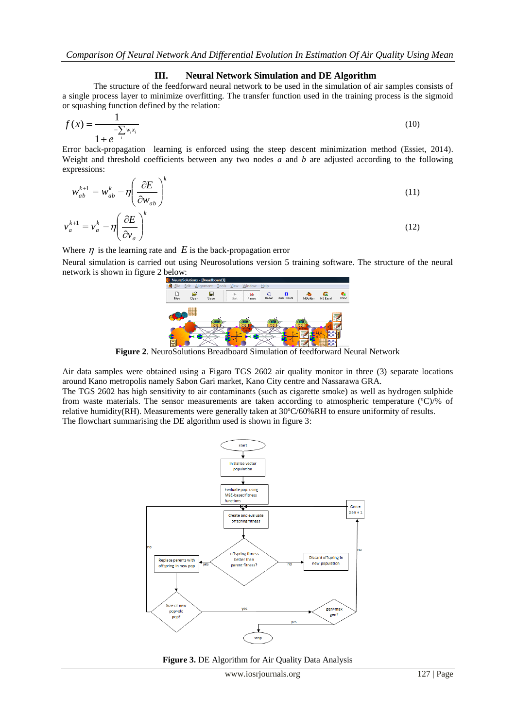## **III. Neural Network Simulation and DE Algorithm**

The structure of the feedforward neural network to be used in the simulation of air samples consists of a single process layer to minimize overfitting. The transfer function used in the training process is the sigmoid or squashing function defined by the relation:

$$
f(x) = \frac{1}{1 + e^{-\sum_{i} w_i x_i}}
$$
(10)

Error back-propagation learning is enforced using the steep descent minimization method (Essiet, 2014). Weight and threshold coefficients between any two nodes *a* and *b* are adjusted according to the following expressions:

$$
w_{ab}^{k+1} = w_{ab}^k - \eta \left(\frac{\partial E}{\partial w_{ab}}\right)^k
$$
  

$$
v_a^{k+1} = v_a^k - \eta \left(\frac{\partial E}{\partial v_a}\right)^k
$$
 (11)

Where  $\eta$  is the learning rate and  $E$  is the back-propagation error

Neural simulation is carried out using Neurosolutions version 5 training software. The structure of the neural network is shown in figure 2 below:



**Figure 2**. NeuroSolutions Breadboard Simulation of feedforward Neural Network

Air data samples were obtained using a Figaro TGS 2602 air quality monitor in three (3) separate locations around Kano metropolis namely Sabon Gari market, Kano City centre and Nassarawa GRA.

The TGS 2602 has high sensitivity to air contaminants (such as cigarette smoke) as well as hydrogen sulphide from waste materials. The sensor measurements are taken according to atmospheric temperature (°C)/% of relative humidity(RH). Measurements were generally taken at 30ºC/60%RH to ensure uniformity of results. The flowchart summarising the DE algorithm used is shown in figure 3:



**Figure 3.** DE Algorithm for Air Quality Data Analysis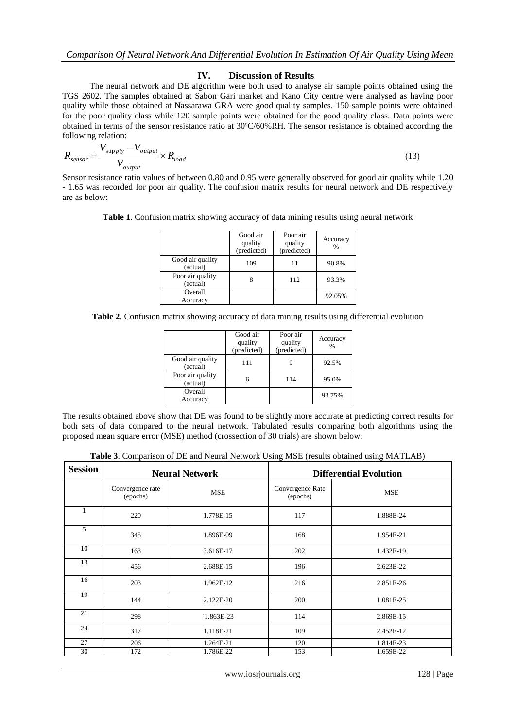#### **IV. Discussion of Results**

The neural network and DE algorithm were both used to analyse air sample points obtained using the TGS 2602. The samples obtained at Sabon Gari market and Kano City centre were analysed as having poor quality while those obtained at Nassarawa GRA were good quality samples. 150 sample points were obtained for the poor quality class while 120 sample points were obtained for the good quality class. Data points were obtained in terms of the sensor resistance ratio at 30ºC/60%RH. The sensor resistance is obtained according the following relation:

$$
R_{sensor} = \frac{V_{supply} - V_{output}}{V_{output}} \times R_{load}
$$
\n(13)

Sensor resistance ratio values of between 0.80 and 0.95 were generally observed for good air quality while 1.20 - 1.65 was recorded for poor air quality. The confusion matrix results for neural network and DE respectively are as below:

| Table 1. Confusion matrix showing accuracy of data mining results using neural network |  |  |  |  |  |
|----------------------------------------------------------------------------------------|--|--|--|--|--|
|                                                                                        |  |  |  |  |  |

|                              | Good air<br>quality<br>(predicted) | Poor air<br>quality<br>(predicted) | Accuracy<br>$\frac{0}{0}$ |
|------------------------------|------------------------------------|------------------------------------|---------------------------|
| Good air quality<br>(actual) | 109                                | 11                                 | 90.8%                     |
| Poor air quality<br>(actual) |                                    | 112                                | 93.3%                     |
| Overall<br>Accuracy          |                                    |                                    | 92.05%                    |

**Table 2**. Confusion matrix showing accuracy of data mining results using differential evolution

|                              | Good air<br>quality<br>(predicted) | Poor air<br>quality<br>(predicted) | Accuracy<br>$\%$ |
|------------------------------|------------------------------------|------------------------------------|------------------|
| Good air quality<br>(actual) | 111                                |                                    | 92.5%            |
| Poor air quality<br>(actual) | 6                                  | 114                                | 95.0%            |
| Overall<br>Accuracy          |                                    |                                    | 93.75%           |

The results obtained above show that DE was found to be slightly more accurate at predicting correct results for both sets of data compared to the neural network. Tabulated results comparing both algorithms using the proposed mean square error (MSE) method (crossection of 30 trials) are shown below:

**Table 3**. Comparison of DE and Neural Network Using MSE (results obtained using MATLAB)

| <b>Session</b> |                              | <b>Neural Network</b> | <b>Differential Evolution</b> |            |  |
|----------------|------------------------------|-----------------------|-------------------------------|------------|--|
|                | Convergence rate<br>(epochs) | <b>MSE</b>            | Convergence Rate<br>(epochs)  | <b>MSE</b> |  |
|                | 220                          | 1.778E-15             | 117                           | 1.888E-24  |  |
| 5              | 345                          | 1.896E-09             | 168                           | 1.954E-21  |  |
| 10             | 163                          | 3.616E-17             | 202                           | 1.432E-19  |  |
| 13             | 456                          | 2.688E-15             | 196                           | 2.623E-22  |  |
| 16             | 203                          | 1.962E-12             | 216                           | 2.851E-26  |  |
| 19             | 144                          | 2.122E-20             | 200                           | 1.081E-25  |  |
| 21             | 298                          | $1.863E-23$           | 114                           | 2.869E-15  |  |
| 24             | 317                          | 1.118E-21             | 109                           | 2.452E-12  |  |
| 27             | 206                          | 1.264E-21             | 120                           | 1.814E-23  |  |
| 30             | 172                          | 1.786E-22             | 153                           | 1.659E-22  |  |